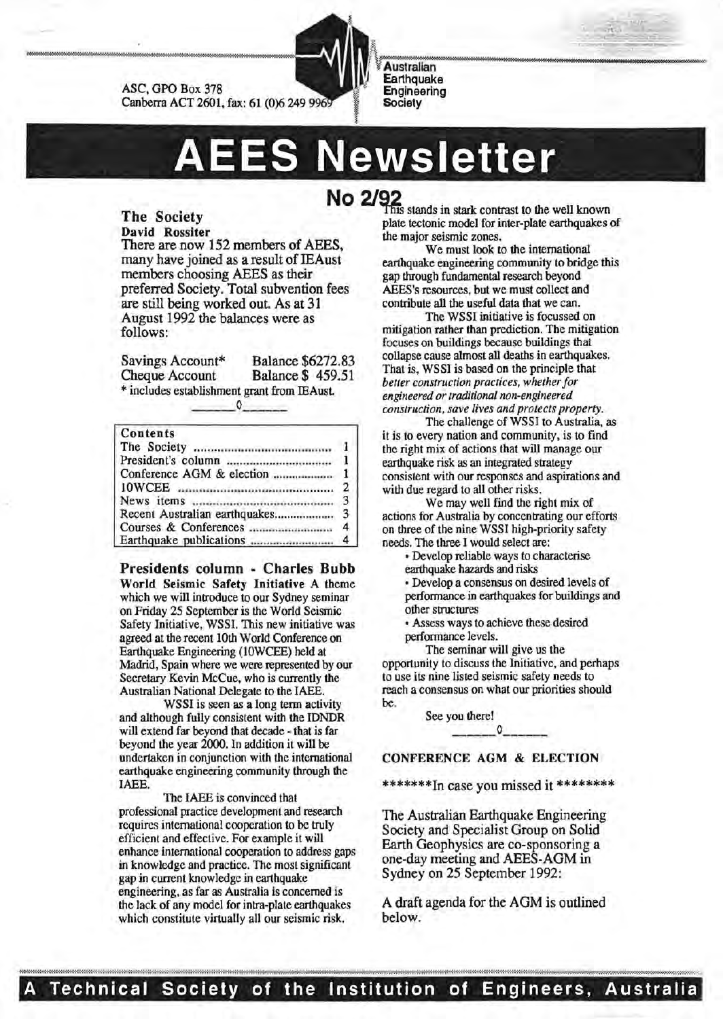

ASC, GPO Box 378 Canberra ACT 2601, fax: 61 (0)6 249

**ES Newsletter** 

Earthquake Engineering **Society** 

### The Society David Rossiter

There are now 152 members of AEES, many have joined as a result of IEAust members choosing AEES as their preferred Society. Total subvention fees are still being worked out. As at 31 August 1992 the balances were as follows:

Savings Account\* Balance \$6272.83<br>Cheque Account Balance \$459.51 **Balance \$ 459.51** \* includes establishment grant from IEAust.

### Contents

| 10WCEE <i>managemental communication</i> 2 |  |
|--------------------------------------------|--|
|                                            |  |
|                                            |  |
|                                            |  |
|                                            |  |

Presidents column - Charles Bubb World Seismic Safety Initiative A theme which we will introduce to our Sydney seminar on Friday 25 September is the World Seismic Safety Initiative, WSSI. This new initiative was agreed at the recent lOth World Conference on Earthquake Engineering (lOWCEE) held at Madrid, Spain where we were represented by our Secretary Kevin McCue, who is currently the Australian National Delegate to the IAEE.

WSSI is seen as a long term activity and although fully consistent with the IDNDR will extend far beyond that decade - that is far beyond the year 2000. In addition it will be undertaken in conjunction with the international earthquake engineering community through the IAEE.

The IAEE is convinced that professional practice development and research requires international cooperation to be truly efficient and effective. For example it will enhance international cooperation to address gaps in knowledge and practice. The most significant gap in current knowledge in earthquake engineering, as far as Australia is concerned is the lack of any model for intra-plate earthquakes which constitute virtually all our seismic risk.

**NO 2/4** This stands in stark contrast to the well known plate tectonic model for inter-plate earthquakes of the major seismic zones.

We must look to the international earthquake engineering community to bridge this gap through fundamental research beyond AEES's resources, but we must collect and contribute all the useful data that we can.

The WSSI initiative is focussed on mitigation rather than prediction. The mitigation focuses on buildings because buildings that collapse cause almost all deaths in earthquakes. That is, WSSI is based on the principle that *better construction practices, whether for engineered or traditional non-engineered construction, save lives and protects property.* 

The challenge of WSSI to Australia, as it is to every nation and community, is to find the right mix of actions that will manage our earthquake risk as an integrated strategy consistent with our responses and aspirations and with due regard to all other risks.

We may well find the right mix of actions for Australia by concentrating our efforts on three of the nine WSSI high-priority safety needs. The three I would select are:

• Develop reliable ways to characterise

earthquake hazards and risks

• Develop a consensus on desired levels of performance in earthquakes for buildings and other structures

• Assess ways to achieve these desired performance levels.

The seminar will give us the opportunity to discuss the Initiative, and perhaps to use its nine listed seismic safety needs to reach a consensus on what our priorities should be.

See you there!

### CONFERENCE AGM & ELECTION

\*\*\*\*\*\*\*In case you missed it \*\*\*\*\*\*\*\*

The Australian Earthquake Engineering Society and Specialist Group on Solid Earth Geophysics are co-sponsoring a one-day meeting and AEES-AGM in Sydney on 25 September 1992:

A draft agenda for the AGM is outlined below.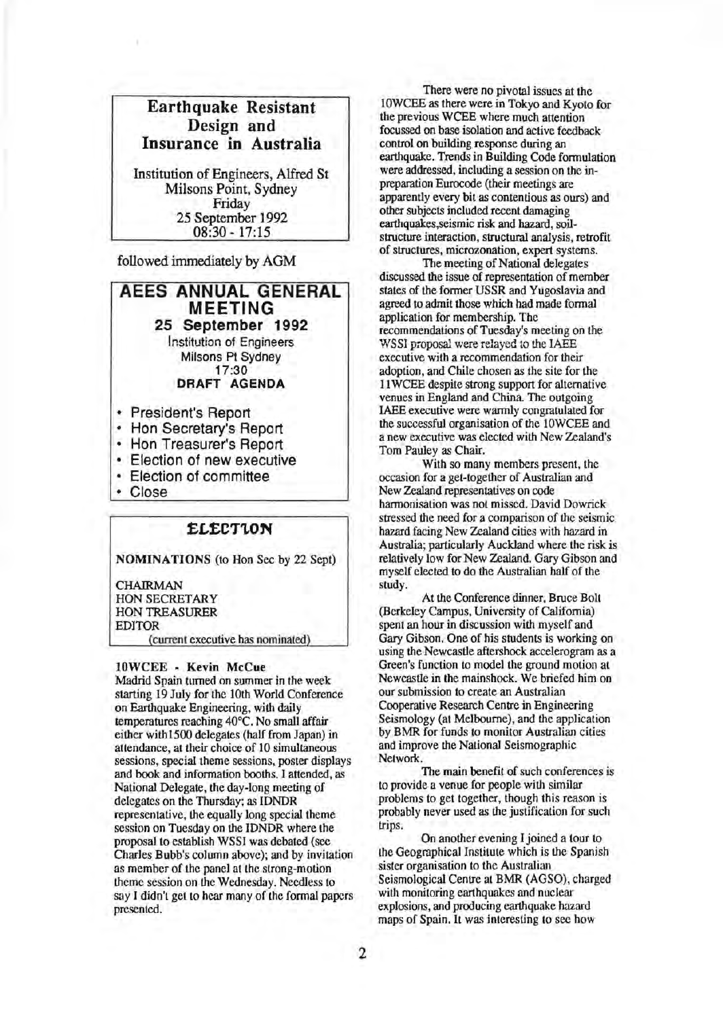

Institution of Engineers, Alfred St Milsons Point, Sydney Friday 25 September 1992 08:30-17:15

followed immediately by AGM

**AEES ANNUAL GENERAL MEETING 25 September 1992**  Institution of Engineers Milsons Pt Sydney 17:30 **DRAFT AGENDA** 

- President's Report
- Hon Secretary's Report
- Hon Treasurer's Report
- Election of new executive
- Election of committee
- Close

### **£L£C'T'LON**

NOMINATIONS (to Hon Sec by 22 Sept)

**CHAIRMAN** HON SECRETARY HON TREASURER EDITOR

(current executive has nominated)

### lOWCEE - Kevin McCue

Madrid Spain turned on summer in the week starting 19 July for the lOth World Conference on Earthquake Engineering, with daily temperatures reaching 40°C. No small affair either with1500 delegates (half from Japan) in attendance, at their choice of 10 simultaneous sessions, special theme sessions, poster displays and book and information booths. I attended, as National Delegate, the day-long meeting of delegates on the Thursday; as IDNDR representative, the equally long special theme session on Tuesday on the IDNDR where the proposal to establish WSSI was debated (see Charles Bubb's column above); and by invitation as member of the panel at the strong-motion theme session on the Wednesday. Needless to say I didn't get to hear many of the formal papers presented.

There were no pivotal issues at the lOWCEE as there were in Tokyo and Kyoto for the previous WCEE where much attention focussed on base isolation and active feedback control on building response during an earthquake. Trends in Building Code formulation were addressed, including a session on the inpreparation Eurocode (their meetings are apparently every bit as contentious as ours) and other subjects included recent damaging earthquakes,seismic risk and hazard, soilstructure interaction, structural analysis, retrofit of structures, microzonation, expert systems.

The meeting of National delegates discussed the issue of representation of member states of the former USSR and Yugoslavia and agreed to admit those which had made formal application for membership. The recommendations of Tuesday's meeting on the WSSI proposal were relayed to the IAEE executive with a recommendation for their adoption, and Chile chosen as the site for the 11 WCEE despite strong support for alternative venues in England and China. The outgoing IAEE executive were warmly congratulated for the successful organisation of the lOWCEE and a new executive was elected with New Zealand's Tom Pauley as Chair.

With so many members present, the occasion for a get-together of Australian and New Zealand representatives on code harmonisation was not missed. David Dowrick stressed the need for a comparison of the seismic hazard facing New Zealand cities with hazard in Australia; particularly Auckland where the risk is relatively low for New Zealand. Gary Gibson and myself elected to do the Australian half of the study.

At the Conference dinner, Bruce Bolt (Berkeley Campus, University of California) spent an hour in discussion with myself and Gary Gibson. One of his students is working on using the Newcastle aftershock accelerogram as a Green's function to model the ground motion at Newcastle in the mainshock. We briefed him on our submission to create an Australian Cooperative Research Centre in Engineering Seismology (at Melbourne), and the application by BMR for funds to monitor Australian cities and improve the National Seismographic Network.

The main benefit of such conferences is to provide a venue for people with similar problems to get together, though this reason is probably never used as the justification for such trips.

On another evening I joined a tour to the Geographical Institute which is the Spanish sister organisation to the Australian Seismological Centre at BMR (AGSO), charged with monitoring earthquakes and nuclear explosions, and producing earthquake hazard maps of Spain. It was interesting to sec how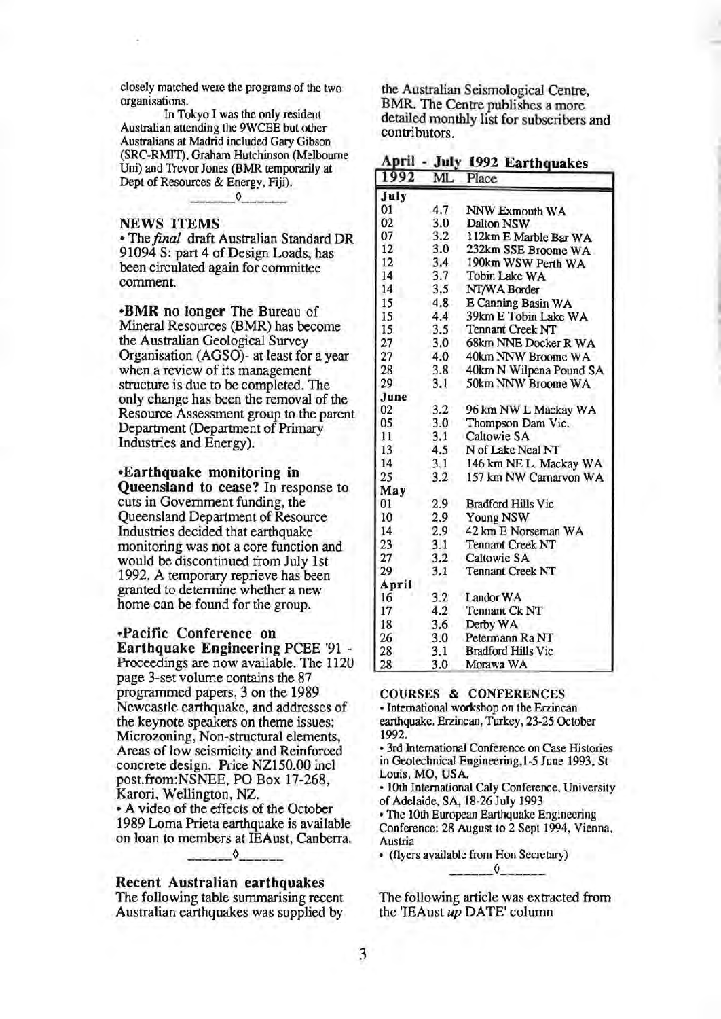closely matched were the programs of the two organisations.

In Tokyo I was the only resident Australian attending the 9WCEE but other Australians at Madrid included Gary Gibson (SRC-RMIT), Graham Hutchinson (Melbourne Uni) and Trevor Jones (BMR temporarily at Dept of Resources & Energy, Fiji).

# NEWS ITEMS

• The *final* draft Australian Standard DR 91094 S: part 4 of Design Loads, has been circulated again for committee comment.

•BMR no longer The Bureau of Mineral Resources (BMR) has become the Australian Geological Survey Organisation (AGSO)- at least for a year when a review of its management structure is due to be completed. The only change has been the removal of the Resource Assessment group to the parent Department (Department of Primary Industries and Energy).

### •Earthquake monitoring in

Queensland to cease? In response to cuts in Government funding, the Queensland Department of Resource Industries decided that earthquake monitoring was not a core function and would be discontinued from July 1st 1992. A temporary reprieve has been granted to determine whether a new home can be found for the group.

•Pacific Conference on

Earthquake Engineering PCEE '91 - Proceedings are now available. The 1120 page 3-set volume contains the 87 programmed papers, 3 on the 1989 Newcastle earthquake, and addresses of the keynote speakers on theme issues; Microzoning, Non-structural elements, Areas of low seismicity and Reinforced concrete design. Price NZ150.00 incl post.from:NSNEE, PO Box 17-268, Karori, Wellington, NZ. • A video of the effects of the October 1989 Lorna Prieta earthquake is available on loan to members at IEAust, Canberra.

### Recent Australian earthquakes

The following table summarising recent Australian earthquakes was supplied by

the Australian Seismological Centre, BMR. The Centre publishes a more detailed monthly list for subscribers and contributors.

|  | April - July 1992 Earthquakes |  |
|--|-------------------------------|--|
|  |                               |  |

| 1992  | ML. | Place                     |  |
|-------|-----|---------------------------|--|
| July  |     |                           |  |
| 01    | 4.7 | NNW Exmouth WA            |  |
| 02    | 3.0 | Dalton NSW                |  |
| 07    | 3.2 | 112km E Marble Bar WA     |  |
| 12    | 3.0 | 232km SSE Broome WA       |  |
| 12    | 3.4 | 190km WSW Perth WA        |  |
| 14    | 3.7 | Tobin Lake WA             |  |
| 14    | 3.5 | NT/WA Border              |  |
| 15    | 4.8 | E Canning Basin WA        |  |
| 15    | 4.4 | 39km E Tobin Lake WA      |  |
| 15    | 3.5 | <b>Tennant Creek NT</b>   |  |
| 27    | 3.0 | 68km NNE Docker R WA      |  |
| 27    | 4.0 | 40km NNW Broome WA        |  |
| 28    | 3.8 | 40km N Wilpena Pound SA   |  |
| 29    | 3.1 | 50km NNW Broome WA        |  |
| June  |     |                           |  |
| 02    | 3.2 | 96 km NW L Mackay WA      |  |
| 05    | 3.0 | Thompson Dam Vic.         |  |
| 11    | 3.1 | Caltowie SA               |  |
| 13    | 4.5 | N of Lake Neal NT         |  |
| 14    | 3.1 | 146 km NE L. Mackay WA    |  |
| 25    | 3.2 | 157 km NW Carnarvon WA    |  |
| May   |     |                           |  |
| 01    | 2.9 | <b>Bradford Hills Vic</b> |  |
| 10    | 2.9 | Young NSW                 |  |
| 14    | 2.9 | 42 km E Norseman WA       |  |
| 23    | 3.1 | <b>Tennant Creek NT</b>   |  |
| 27    | 3.2 | Caltowie SA               |  |
| 29    | 3.1 | <b>Tennant Creek NT</b>   |  |
| April |     |                           |  |
| 16    | 3.2 | Landor WA                 |  |
| 17    | 4.2 | Tennant Ck NT             |  |
| 18    | 3.6 | Derby WA                  |  |
| 26    | 3.0 | Petermann Ra NT           |  |
| 28    | 3.1 | <b>Bradford Hills Vic</b> |  |
| 28    | 3.0 | Morawa WA                 |  |

### COURSES & CONFERENCES

• International workshop on the Erzincan earthquake. Erzincan, Turkey, 23-25 October 1992.

• 3rd International Conference on Case Histories in Geotechnical Engineering,l-5 June 1993, St Louis, MO, USA.

• lOth International Caly Conference, University of Adelaide, SA, 18-26 July 1993

• The lOth European Earthquake Engineering Conference: 28 August to 2 Sept 1994, Vienna, Austria

• (flyers available from Hon Secretary)

The following article was extracted from the 'IEAust up DATE' column